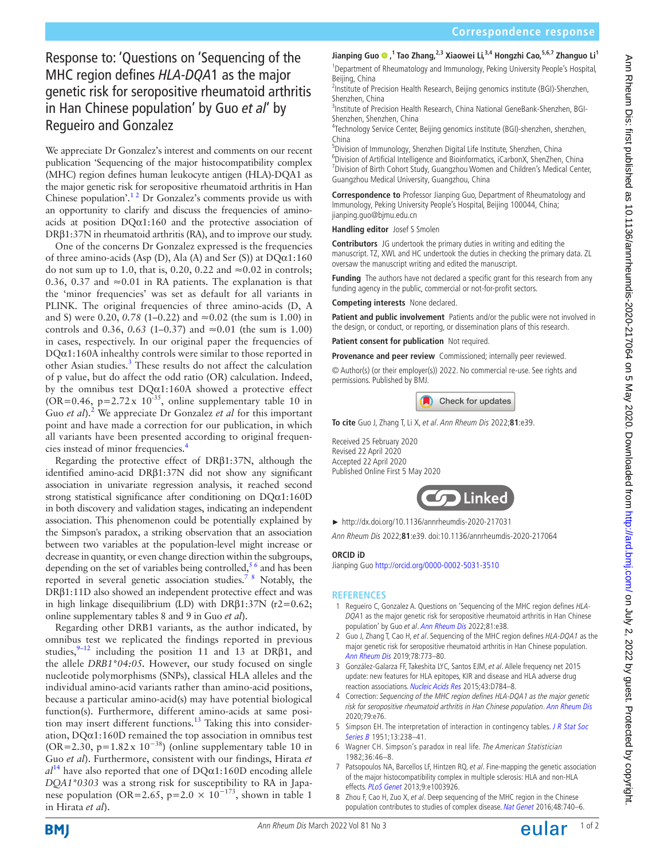## Response to: 'Questions on 'Sequencing of the MHC region defines *HLA-DQA*1 as the major genetic risk for seropositive rheumatoid arthritis in Han Chinese population' by Guo *et al*' by Regueiro and Gonzalez

We appreciate Dr Gonzalez's interest and comments on our recent publication 'Sequencing of the major histocompatibility complex (MHC) region defines human leukocyte antigen (HLA)-DQA1 as the major genetic risk for seropositive rheumatoid arthritis in Han Chinese population'.<sup>12</sup> Dr Gonzalez's comments provide us with an opportunity to clarify and discuss the frequencies of aminoacids at position DQα1:160 and the protective association of DRβ1:37N in rheumatoid arthritis (RA), and to improve our study.

One of the concerns Dr Gonzalez expressed is the frequencies of three amino-acids (Asp (D), Ala (A) and Ser (S)) at  $DQ\alpha1:160$ do not sum up to 1.0, that is, 0.20, 0.22 and  $\approx 0.02$  in controls; 0.36, 0.37 and  $\approx$ 0.01 in RA patients. The explanation is that the 'minor frequencies' was set as default for all variants in PLINK. The original frequencies of three amino-acids (D, A and S) were 0.20, *0.78* (1–0.22) and ≈0.02 (the sum is 1.00) in controls and 0.36, 0.63 (1–0.37) and ≈0.01 (the sum is 1.00) in cases, respectively. In our original paper the frequencies of  $DQ\alpha1:160A$  inhealthy controls were similar to those reported in other Asian studies.<sup>[3](#page-0-1)</sup> These results do not affect the calculation of p value, but do affect the odd ratio (OR) calculation. Indeed, by the omnibus test  $DQ\alpha1:160A$  showed a protective effect  $(OR=0.46, p=2.72 \times 10^{-35})$ , online supplementary table 10 in Guo *et al*).<sup>[2](#page-0-2)</sup> We appreciate Dr Gonzalez *et al* for this important point and have made a correction for our publication, in which all variants have been presented according to original frequen-cies instead of minor frequencies.<sup>[4](#page-0-3)</sup>

Regarding the protective effect of DRβ1:37N, although the identified amino-acid DRβ1:37N did not show any significant association in univariate regression analysis, it reached second strong statistical significance after conditioning on DQα1:160D in both discovery and validation stages, indicating an independent association. This phenomenon could be potentially explained by the Simpson's paradox, a striking observation that an association between two variables at the population-level might increase or decrease in quantity, or even change direction within the subgroups, depending on the set of variables being controlled,  $56$  and has been reported in several genetic association studies.<sup>78</sup> Notably, the DRβ1:11D also showed an independent protective effect and was in high linkage disequilibrium (LD) with DR $\beta$ 1:37N (r2=0.62; online supplementary tables 8 and 9 in Guo *et al*).

Regarding other DRB1 variants, as the author indicated, by omnibus test we replicated the findings reported in previous studies,<sup>9-12</sup> including the position 11 and 13 at DR $\beta$ 1, and the allele *DRB1\*04:05.* However, our study focused on single nucleotide polymorphisms (SNPs), classical HLA alleles and the individual amino-acid variants rather than amino-acid positions, because a particular amino-acid(s) may have potential biological function(s). Furthermore, different amino-acids at same position may insert different functions.<sup>13</sup> Taking this into consideration,  $DQ\alpha1:160D$  remained the top association in omnibus test (OR=2.30, p=1.82x  $10^{-38}$ ) (online supplementary table 10 in Guo *et al*). Furthermore, consistent with our findings, Hirata *et*   $al<sup>14</sup>$  have also reported that one of  $DQ\alpha1:160D$  encoding allele *DQA1\*0303* was a strong risk for susceptibility to RA in Japanese population (OR=2.65, p=2.0 ×  $10^{-173}$ , shown in table 1 in Hirata *et al*).

**Jianping Guo,1 Tao Zhang,2,3 Xiaowei Li,3,4 Hongzhi Cao,5,6,7 Zhanguo Li1**

<sup>1</sup>Department of Rheumatology and Immunology, Peking University People's Hospital, Beijing, China

<sup>2</sup>Institute of Precision Health Research, Beijing genomics institute (BGI)-Shenzhen, Shenzhen, China

<sup>3</sup>Institute of Precision Health Research, China National GeneBank-Shenzhen, BGI-Shenzhen, Shenzhen, China <sup>4</sup>

Technology Service Center, Beijing genomics institute (BGI)-shenzhen, shenzhen, China

5 Division of Immunology, Shenzhen Digital Life Institute, Shenzhen, China 6 Division of Artificial Intelligence and Bioinformatics, iCarbonX, ShenZhen, China <sup>7</sup> Division of Birth Cohort Study, Guangzhou Women and Children's Medical Center, Guangzhou Medical University, Guangzhou, China

**Correspondence to** Professor Jianping Guo, Department of Rheumatology and Immunology, Peking University People's Hospital, Beijing 100044, China; jianping.guo@bjmu.edu.cn

**Handling editor** Josef S Smolen

**Contributors** JG undertook the primary duties in writing and editing the manuscript. TZ, XWL and HC undertook the duties in checking the primary data. ZL oversaw the manuscript writing and edited the manuscript.

**Funding** The authors have not declared a specific grant for this research from any funding agency in the public, commercial or not-for-profit sectors.

**Competing interests** None declared.

**Patient and public involvement** Patients and/or the public were not involved in the design, or conduct, or reporting, or dissemination plans of this research.

**Patient consent for publication** Not required.

**Provenance and peer review** Commissioned; internally peer reviewed.

© Author(s) (or their employer(s)) 2022. No commercial re-use. See rights and permissions. Published by BMJ.

Check for updates

**To cite** Guo J, Zhang T, Li X, et al. Ann Rheum Dis 2022;**81**:e39.

Received 25 February 2020 Revised 22 April 2020 Accepted 22 April 2020 Published Online First 5 May 2020



► <http://dx.doi.org/10.1136/annrheumdis-2020-217031>

Ann Rheum Dis 2022;**81**:e39. doi:10.1136/annrheumdis-2020-217064

## **ORCID iD**

Jianping Guo <http://orcid.org/0000-0002-5031-3510>

## **References**

- <span id="page-0-0"></span>1 Regueiro C, Gonzalez A. Questions on 'Sequencing of the MHC region defines HLA-DQA1 as the major genetic risk for seropositive rheumatoid arthritis in Han Chinese population' by Guo et al. [Ann Rheum Dis](http://dx.doi.org/10.1136/annrheumdis-2020-217031) 2022;81:e38.
- <span id="page-0-2"></span>2 Guo J, Zhang T, Cao H, et al. Sequencing of the MHC region defines HLA-DQA1 as the major genetic risk for seropositive rheumatoid arthritis in Han Chinese population. [Ann Rheum Dis](http://dx.doi.org/10.1136/annrheumdis-2018-214725) 2019;78:773–80.
- <span id="page-0-1"></span>3 González-Galarza FF, Takeshita LYC, Santos EJM, et al. Allele frequency net 2015 update: new features for HLA epitopes, KIR and disease and HLA adverse drug reaction associations. [Nucleic Acids Res](http://dx.doi.org/10.1093/nar/gku1166) 2015;43:D784-8.
- <span id="page-0-3"></span>4 Correction: Sequencing of the MHC region defines HLA-DQA1 as the major genetic risk for seropositive rheumatoid arthritis in Han Chinese population. [Ann Rheum Dis](http://dx.doi.org/10.1136/annrheumdis-2018-214725corr1) 2020;79:e76.
- <span id="page-0-4"></span>5 Simpson EH. The interpretation of interaction in contingency tables. J R Stat Soc [Series B](http://dx.doi.org/10.1111/j.2517-6161.1951.tb00088.x) 1951;13:238-41.
- 6 Wagner CH. Simpson's paradox in real life. The American Statistician 1982;36:46–8.
- <span id="page-0-5"></span>7 Patsopoulos NA, Barcellos LF, Hintzen RQ, et al. Fine-mapping the genetic association of the major histocompatibility complex in multiple sclerosis: HLA and non-HLA effects. [PLoS Genet](http://dx.doi.org/10.1371/journal.pgen.1003926) 2013;9:e1003926.
- 8 Zhou F, Cao H, Zuo X, et al. Deep sequencing of the MHC region in the Chinese population contributes to studies of complex disease. [Nat Genet](http://dx.doi.org/10.1038/ng.3576) 2016;48:740-6.